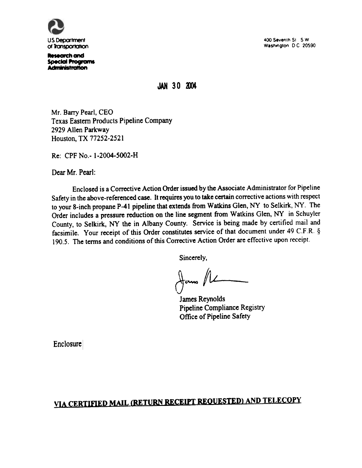

Research and Special Programs<br>Administration 400 Seventh St., S.W. Washington. D.C. 20590.

JAN 30 2004

Mr. Barry Pearl, CEO Texas Eastern Products Pipeline Company 2929 Allen Parkway Houston, TX 77252-2521

Re: CPF No.- 1-2004-5002-H

Dear Mr. Pearl:

Enclosed is a Corrective Action Order issued by the Associate Administrator for Pipeline Safety in the above-referenced case. It requires you to take certain corrective actions with respect to your 8-inch propane P-41 pipeline that extends from Watkins Glen, NY to Selkirk, NY. The Order includes a pressure reduction on the line segment from Watkins Glen. NY in Schuyler County. to Selkirk. NY the in Albany County. Service is being made by certified mail and facsimile. Your receipt of this Order constitutes service of that document under 49 C.F.R. § 190.5. The terms and conditions of this Corrective Action Order are effective upon receipt.

Sincerely.

 $\downarrow$ ams //l

James Reynolds Pipeline Compliance Registry Office of Pipeline Safety

**Enclosure** 

# YlA CERTIFIED MAIL (RETURN RECEIPT REOUESTED} AND TELECOPY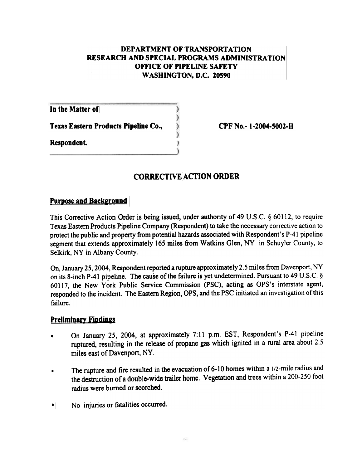#### DEPARTMENT OF TRANSPORTATION RESEARCH AND SPECIAL PROGRAMS ADMINISTRATION OFFICE OF PIPELINE SAFETY WASHINGTON, D.C. 20590

In the Matter of

Texas Eastern Products Pipeline Co.,

Respondent.

CPF No.- 1-2004-5002-8

### CORRECTIVE ACTION ORDER

#### Purpose and Background

This Corrective Action Order is being issued, under authority of 49 U,S.C. § 60112, to require Texas Eastern Products Pipeline Company (Respondent) to take the necessary corrective action to protect the public and property from potential hazards associated with Respondent's P-41 pipeline segment that extends approximately 165 miles from Watkins Glen, NY in Schuyler County, to Selkirk, NY in Albany County.

On, January 25, 2004, Respondent reported a rupture approximately 2.5 miles from Davenport, NY on its 8-inch P-41 pipeline. The cause of the failure is yet undetermined. Pursuant to 49 U.S.C.  $\S$ 60117, the New York Public Service Commission (PSC), acting as OPS's interstate agent, responded to the incident. The Eastern Region, OPS, and the PSC initiated an investigation of this failure.

#### Preliminary Findings

- On January 25, 2004, at approximately 1:11 p.m. EST, Respondent's P-41 pipeline ruptured, resulting in the release of propane gas which ignited in a rural area about 2.5 miles east of Davenport, NY.  $\bullet$   $\vdash$
- The rupture and fire resulted in the evacuation of 6-10 homes within a 1/2-mile radius and the destruction of a double-wide trailer home. Vegetation and trees within a 200-250 foot radius were burned or scorched. .
- No injuries or fatalities occurred.  $\bullet$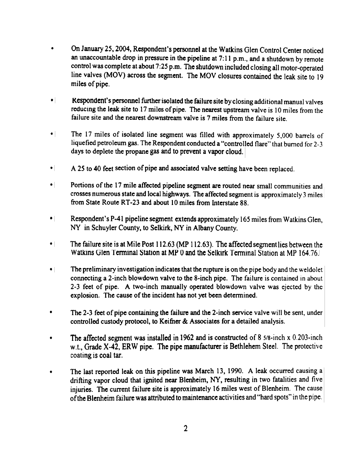- On 1anuary 25,2004, Respondent's personnel at the Watkins Glen Control Center noticed an unaccountable drop in pressure in the pipeline at 7:11 p.m., and a shutdown by remote control was complete at about 7:25 p.m. The shutdown included closing all motor-operated line valves (MOV) across the segment. The MOV closures contained the leak site to 19 miles of pipe. .
- Respondent's personnel further isolated the failure site by closing additional manual valves reducing the leak site to 17 miles of pipe. The nearest upstream valve is 10 miles from the failure site and the nearest downstream valve is 7 miles from the failure site.
- The 17 miles of isolated line segment was filled with approximately 5,000 barrels of liquefied petroleum gas. The Respondent conducted a "controlled flare" that burned for 2-3 days to deplete the propane gas and to prevent a vapor cloud.  $\bullet$
- A 25 to 40 feet section of pipe and associated valve setting have been replaced.  $\bullet$
- Portions of the 17 mile affected pipeline segment are routed near small communities and crosses numerous state and local highways. The affected segment is approximately 3 miles from State Route RT-23 and about 10 miles from Interstate 88.  $\bullet$
- Respondent"s P-41 pipeline segment extends approximately 165 miles from Watkins Glen, NY in Schuyler County, to Selkirk, NY in Albany County.  $\bullet$
- The failure site is at Mile Post 112.63 (MP 112.63). The affected segment lies between the Watkins Glen Terminal Station at MP 0 and the Selkirk Terminal Station at MP 164.76.
- The preliminary investigation indicates that the rupture is on the pipe body and the weldolet connecting a 2-inch blowdown valve to the 8-inch pipe. The failure is contained in about 2-3 feet of pipe. A two-inch manually operated blowdown valve was ejected by the explosion. The cause of the incident has not yet been determined.  $\bullet$
- The 2-3 feet of pipe containing the failure and the 2-inch service valve will be sent, under controlled custody protocol, to Keifner & Associates for a detailed analysis. .
- The affected segment was installed in 1962 and is constructed of 8 5/8-inch x 0.203-inch w.t., Grade X-42, ERW pipe. The pipe manufacturer is Bethlehem Steel. The protective coating is coal tar.
- The last reported leak on this pipeline was March 13, 1990. A leak occurred causing a drifting vapor cloud that ignited near Blenheim. NY. resulting in two fatalities and five injuries. The current failure site is approximately 16 miles west of Blenheim. The cause of the Blenheim failure was attributed to maintenance activities and "hard spots" in the pipe. .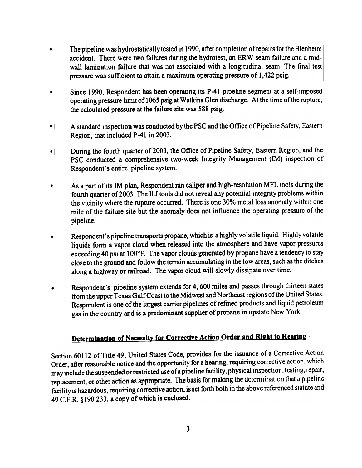- The pipeline was hydrostatically tested in 1990, after completion of repairs for the Blenheim accident. There were two failures during the hydrotest, an ERW seam failure and a midwall lamination failure that was not associated with a longitudinal seam. The final test pressure was sufficient to attain a maximum operating pressure of 1 ,422 psig.  $\bullet$
- Since 1990, Respondent has been operating its P-41 pipeline segment at a self-imposed operating pressure limit of 1065 psig at Watkins Glen discharge. At the time of the rupture, the calculated pressure at the failure site was 588 psig.  $\bullet$
- A standard inspection was conducted by the PSC and the Office of Pipeline Safety, Eastern Region, that included P-41 in 2003.  $\bullet$
- During the fourth quarter of 2003. the Office of Pipeline Safety. Eastern Region, and the PSC conducted a comprehensive two-week Integrity Management (IM) inspection of Respondent's entire pipeline system.  $\bullet$   $\vdash$
- As a part of its 1M plan, Respondent ran caliper and high-resolution MFL tools during the fourth quarter of2003. The ILl tools did not reveal any potential integrity problems within the vicinity where the rupture occurred. There is one 30% metal loss anomaly within one mile of the failure site but the anomaly does not influence the operating pressure of the pipeline.  $\bullet$
- Respondent's pipeline transports propane, which is a highly volatile liquid. Highly volatile liquids fonn a vapor cloud when released into the atmosphere and have vapor pressures exceeding 40 psi at 100°F. The vapor clouds generated by propane have a tendency to stay close to the ground and follow the terrain accumulating in the low areas, such as the ditches along a highway or railroad. The vapor cloud will slowly dissipate over time. .
- Respondent's pipeline system extends for 4, 600 miles and passes through thirteen states from the upper Texas Gulf Coast to the Midwest and Northeast regions of the United States. Respondent is one of the largest carrier pipelines of refined products and liquid petroleum gas in the country and is a predominant supplier of propane in upstate New York. .

## Determination of Necessity for Corrective Action Order and Right to Hearing

Section 60112 of Title 49, United States Code, provides for the issuance of a Corrective Action Order, after reasonable notice and the opportunity for a hearing, requiring corrective action, which may include the suspended or restricted use of a pipeline facility, physical inspection, testing, repair, replacement, or other action as appropriate. The basis for making the determination that a pipeline facility is hazardous, requiring corrective action, is set forth both in the above referenced statute and 49 C.F.R. §190.233, a copy of which is enclosed.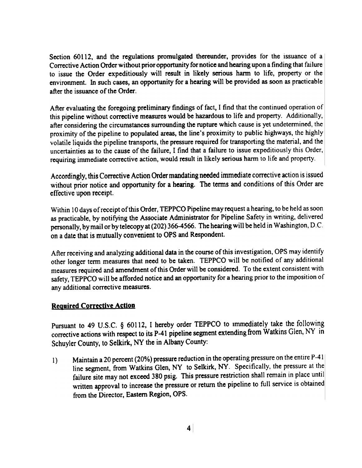Section 60112, and the regulations promulgated thereunder, provides for the issuance of a Corrective Action Order without prior opportunity for notice and hearing upon a finding that failure to issue the Order expeditiously will result in likely serious harm to life, property or the environment. In such cases, an opportunity for a hearing will be provided as soon as practicable after the issuance of the Order.

After evaluating the foregoing preliminary findings of fact, I find that the continued operation of this pipeline without corrective measures would be hazardous to life and property. Additionally, after considering the circumstances surrounding the rupture which cause is yet undetermined, the proximity of the pipeline to populated areas, the line's proximity to public highways, the highly volatile liquids the pipeline transports, the pressure required for transporting the material, and the uncertainties as to the cause of the failure, I find that a failure to issue expeditiously this Order, requiring immediate corrective action, would result in likely serious harm to life and property.

Accordingly, this Corrective Action Order mandating needed immediate corrective action is issued without prior notice and opportunity for a hearing. The terms and conditions of this Order are effective upon receipt.

Within 10 days of receipt of this Order, TEPPCO Pipeline may request a hearing, to be held as soon as practicable. by notifying the Associate Administrator for Pipeline Safety in writing, delivered personally, by mail or by telecopy at (202) 366-4566. The hearing will be held in Washington, D.C. on a date that is mutually convenient to OPS and Respondent.

After receiving and analyzing additional data in the course of this investigation, OPS may identify other longer term measures that need to be taken. TEPPCO will be notified of any additional measures required and amendment of this Order will be considered. To the extent consistent with safety, TEPPCO will be afforded notice and an opportunity for a hearing prior to the imposition of any additional corrective measures.

#### **Required Corrective Action**

Pursuant to 49 U.S.C. § 60112, I hereby order TEPPCO to immediately take the following corrective actions with respect to its P-41 pipeline segment extending from Watkins Glen, NY in Schuyler County, to Selkirk, NY the in Albany County:

1) Maintain a 20 percent (20%) pressure reduction in the operating pressure on the entire P-41 line segment, from Watkins Glen. NY to Selkirk, NY. Specifically, the pressure at the failure site may not exceed 380 psig. This pressure restriction shall remain in place until written approval to increase the pressure or return the pipeline to full service is obtained from the Director, Eastern Region, OPS.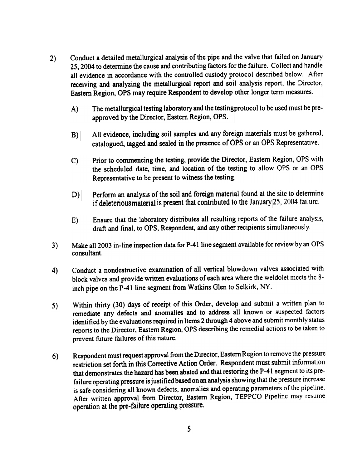- Conduct a detailed metallurgical analysis of the pipe and the valve that failed on January 25,2004 to detennine the cause and contributing factors for the failure. Collect and handle all evidence in accordance with the controlled custody protocol described below. After receiving and analyzing the metallurgical report and soil analysis report, the Director, Eastern Region, OPS may require Respondent to develop other longer term measures.  $2)$ 
	- A) The metallurgical testing laboratory and the testing protocol to be used must be preapproved by the Director, Eastern Region, OPS.
	- All evidence, including soil samples and any foreign materials must be gathered, catalogued, tagged md sealed in the presmce ofOPS or an OPS Representative.  $B)$
	- C) Prior to commencing the testing. provide the Director, Eastern Region, OPS with the scheduled date, time, and location of the testing to allow OPS or an OPS Representative to be present to witness the testing.
	- D) Perform an analysis of the soil and foreign material found at the site to determine if deleterious material is present that contributed to the January  $25$ , 2004 failure.
	- E) Ensure that the laboratory distributes all resulting reports of the failure analysis, draft and final, to OPS, Respondent, and any other recipients simultaneously.
- 3) Make all 2003 in-line inspection data for P-41 line segment available for review by an OPS consultant.
- Conduct a nondestructive examination of all vertical blowdown valves associated with block valves and provide written evaluations of each area where the weldolet meets the 8 inch pipe on the P-41 line segment from Watkins Glen to Selkirk, NY. 4)
- Within thirty (30) days of receipt of this Order, develop and submit a written plan to remediate any defects and anomalies and to address all known or suspected factors identified by the evaluations required in Items 2 through 4 above and submit monthly status reports to the Director, Eastern Region, OPS describing the remedial actions to be taken to prevent future failures of this nature. 5)
- Respondent must request approval from the Director, Eastern Region to remove the pressure restriction set forth in this Corrective Action Order. Respondent must submit information that demonstrates the hazard has been abated and that restoring the P-41 segment to its prefailure operating pressure is justified based on an analysis showing that the pressure increase is safe considering all known defects, anomalies and operating parameters of the pipeline. After written approval from Director, Eastern Region, TEPPCO Pipeline may resume  $6)$ operation at the pre-failure operating pressure.